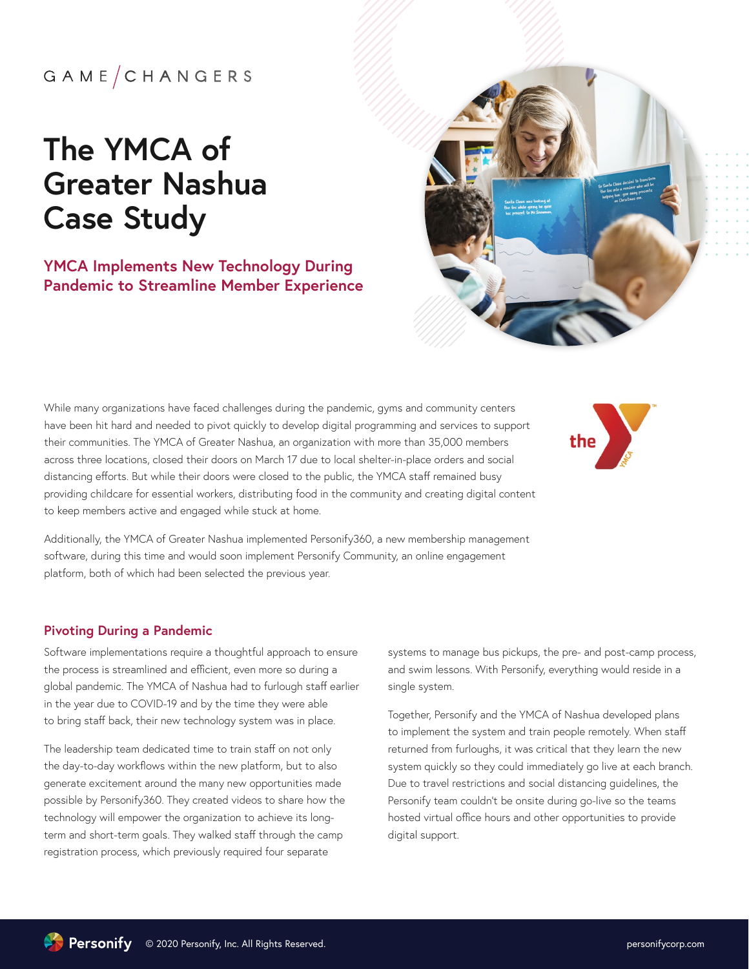## $G$  A M E  $/C$  H A N G E R S

# **The YMCA of Greater Nashua Case Study**

### **YMCA Implements New Technology During Pandemic to Streamline Member Experience**



While many organizations have faced challenges during the pandemic, gyms and community centers have been hit hard and needed to pivot quickly to develop digital programming and services to support their communities. The YMCA of Greater Nashua, an organization with more than 35,000 members across three locations, closed their doors on March 17 due to local shelter-in-place orders and social distancing efforts. But while their doors were closed to the public, the YMCA staff remained busy providing childcare for essential workers, distributing food in the community and creating digital content to keep members active and engaged while stuck at home.



Additionally, the YMCA of Greater Nashua implemented Personify360, a new membership management software, during this time and would soon implement Personify Community, an online engagement platform, both of which had been selected the previous year.

#### **Pivoting During a Pandemic**

Software implementations require a thoughtful approach to ensure the process is streamlined and efficient, even more so during a global pandemic. The YMCA of Nashua had to furlough staff earlier in the year due to COVID-19 and by the time they were able to bring staff back, their new technology system was in place.

The leadership team dedicated time to train staff on not only the day-to-day workflows within the new platform, but to also generate excitement around the many new opportunities made possible by Personify360. They created videos to share how the technology will empower the organization to achieve its longterm and short-term goals. They walked staff through the camp registration process, which previously required four separate

systems to manage bus pickups, the pre- and post-camp process, and swim lessons. With Personify, everything would reside in a single system.

Together, Personify and the YMCA of Nashua developed plans to implement the system and train people remotely. When staff returned from furloughs, it was critical that they learn the new system quickly so they could immediately go live at each branch. Due to travel restrictions and social distancing guidelines, the Personify team couldn't be onsite during go-live so the teams hosted virtual office hours and other opportunities to provide digital support.